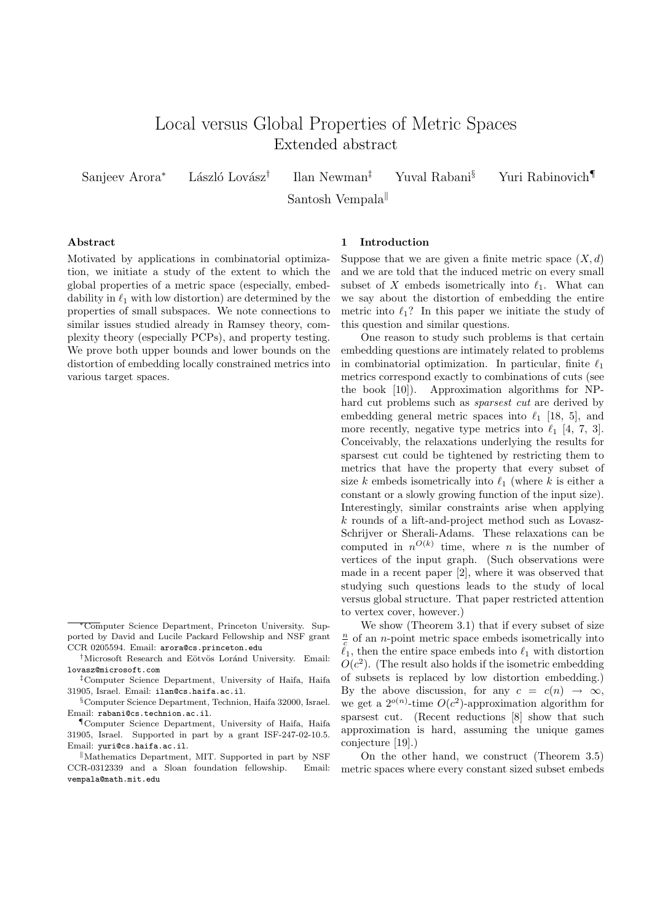# Local versus Global Properties of Metric Spaces Extended abstract

Sanjeev Arora<sup>∗</sup> László Lovász<sup>†</sup>

Ilan Newman‡ Yuval Rabani§ Yuri Rabinovich¶

Santosh Vempala

## Abstract

Motivated by applications in combinatorial optimization, we initiate a study of the extent to which the global properties of a metric space (especially, embeddability in  $\ell_1$  with low distortion) are determined by the properties of small subspaces. We note connections to similar issues studied already in Ramsey theory, complexity theory (especially PCPs), and property testing. We prove both upper bounds and lower bounds on the distortion of embedding locally constrained metrics into various target spaces.

#### 1 Introduction

Suppose that we are given a finite metric space  $(X, d)$ and we are told that the induced metric on every small subset of X embeds isometrically into  $\ell_1$ . What can we say about the distortion of embedding the entire metric into  $\ell_1$ ? In this paper we initiate the study of this question and similar questions.

One reason to study such problems is that certain embedding questions are intimately related to problems in combinatorial optimization. In particular, finite  $\ell_1$ metrics correspond exactly to combinations of cuts (see the book [10]). Approximation algorithms for NPhard cut problems such as sparsest cut are derived by embedding general metric spaces into  $\ell_1$  [18, 5], and more recently, negative type metrics into  $\ell_1$  [4, 7, 3]. Conceivably, the relaxations underlying the results for sparsest cut could be tightened by restricting them to metrics that have the property that every subset of size k embeds isometrically into  $\ell_1$  (where k is either a constant or a slowly growing function of the input size). Interestingly, similar constraints arise when applying k rounds of a lift-and-project method such as Lovasz-Schrijver or Sherali-Adams. These relaxations can be computed in  $n^{O(k)}$  time, where *n* is the number of vertices of the input graph. (Such observations were made in a recent paper [2], where it was observed that studying such questions leads to the study of local versus global structure. That paper restricted attention to vertex cover, however.)

We show (Theorem 3.1) that if every subset of size  $\frac{n}{c}$  of an *n*-point metric space embeds isometrically into  $\ell_1$ , then the entire space embeds into  $\ell_1$  with distortion  $O(c^2)$ . (The result also holds if the isometric embedding of subsets is replaced by low distortion embedding.) By the above discussion, for any  $c = c(n) \rightarrow \infty$ , we get a  $2^{o(n)}$ -time  $O(c^2)$ -approximation algorithm for sparsest cut. (Recent reductions [8] show that such approximation is hard, assuming the unique games conjecture [19].)

On the other hand, we construct (Theorem 3.5) metric spaces where every constant sized subset embeds

<sup>∗</sup>Computer Science Department, Princeton University. Supported by David and Lucile Packard Fellowship and NSF grant CCR 0205594. Email: arora@cs.princeton.edu

<sup>&</sup>lt;sup>†</sup>Microsoft Research and Eötvös Loránd University. Email: lovasz@microsoft.com

<sup>‡</sup>Computer Science Department, University of Haifa, Haifa 31905, Israel. Email: ilan@cs.haifa.ac.il.

<sup>§</sup>Computer Science Department, Technion, Haifa 32000, Israel. Email: rabani@cs.technion.ac.il.

<sup>¶</sup>Computer Science Department, University of Haifa, Haifa 31905, Israel. Supported in part by a grant ISF-247-02-10.5. Email: yuri@cs.haifa.ac.il.

KMathematics Department, MIT. Supported in part by NSF CCR-0312339 and a Sloan foundation fellowship. Email: vempala@math.mit.edu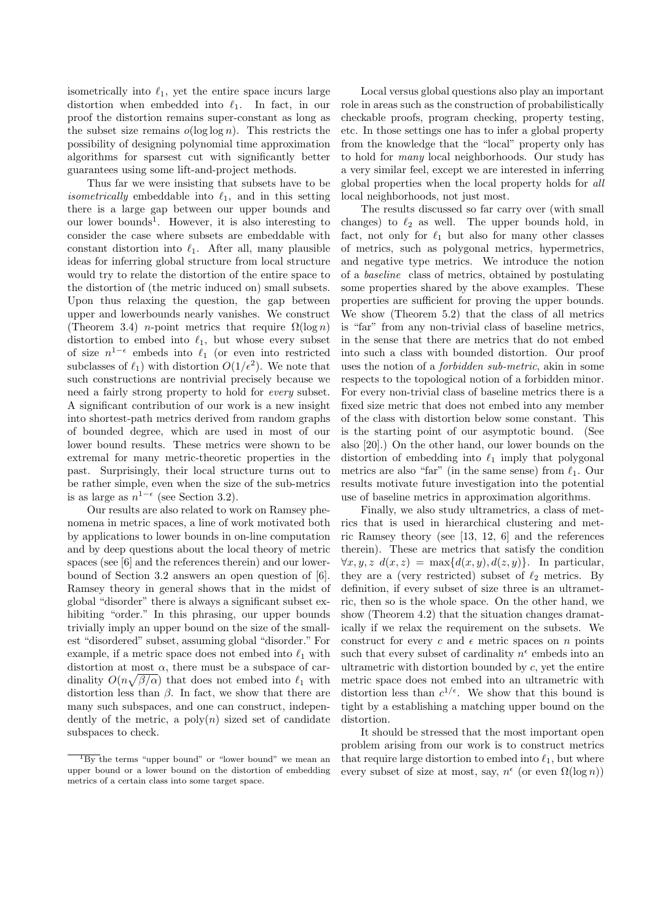isometrically into  $\ell_1$ , yet the entire space incurs large distortion when embedded into  $\ell_1$ . In fact, in our proof the distortion remains super-constant as long as the subset size remains  $o(\log \log n)$ . This restricts the possibility of designing polynomial time approximation algorithms for sparsest cut with significantly better guarantees using some lift-and-project methods.

Thus far we were insisting that subsets have to be *isometrically* embeddable into  $\ell_1$ , and in this setting there is a large gap between our upper bounds and our lower bounds<sup>1</sup>. However, it is also interesting to consider the case where subsets are embeddable with constant distortion into  $\ell_1$ . After all, many plausible ideas for inferring global structure from local structure would try to relate the distortion of the entire space to the distortion of (the metric induced on) small subsets. Upon thus relaxing the question, the gap between upper and lowerbounds nearly vanishes. We construct (Theorem 3.4) *n*-point metrics that require  $\Omega(\log n)$ distortion to embed into  $\ell_1$ , but whose every subset of size  $n^{1-\epsilon}$  embeds into  $\ell_1$  (or even into restricted subclasses of  $\ell_1$ ) with distortion  $O(1/\epsilon^2)$ . We note that such constructions are nontrivial precisely because we need a fairly strong property to hold for every subset. A significant contribution of our work is a new insight into shortest-path metrics derived from random graphs of bounded degree, which are used in most of our lower bound results. These metrics were shown to be extremal for many metric-theoretic properties in the past. Surprisingly, their local structure turns out to be rather simple, even when the size of the sub-metrics is as large as  $n^{1-\epsilon}$  (see Section 3.2).

Our results are also related to work on Ramsey phenomena in metric spaces, a line of work motivated both by applications to lower bounds in on-line computation and by deep questions about the local theory of metric spaces (see [6] and the references therein) and our lowerbound of Section 3.2 answers an open question of [6]. Ramsey theory in general shows that in the midst of global "disorder" there is always a significant subset exhibiting "order." In this phrasing, our upper bounds trivially imply an upper bound on the size of the smallest "disordered" subset, assuming global "disorder." For example, if a metric space does not embed into  $\ell_1$  with distortion at most  $\alpha$ , there must be a subspace of cardinality  $O(n\sqrt{\beta/\alpha})$  that does not embed into  $\ell_1$  with distortion less than  $\beta$ . In fact, we show that there are many such subspaces, and one can construct, independently of the metric, a  $poly(n)$  sized set of candidate subspaces to check.

Local versus global questions also play an important role in areas such as the construction of probabilistically checkable proofs, program checking, property testing, etc. In those settings one has to infer a global property from the knowledge that the "local" property only has to hold for many local neighborhoods. Our study has a very similar feel, except we are interested in inferring global properties when the local property holds for all local neighborhoods, not just most.

The results discussed so far carry over (with small changes) to  $\ell_2$  as well. The upper bounds hold, in fact, not only for  $\ell_1$  but also for many other classes of metrics, such as polygonal metrics, hypermetrics, and negative type metrics. We introduce the notion of a baseline class of metrics, obtained by postulating some properties shared by the above examples. These properties are sufficient for proving the upper bounds. We show (Theorem 5.2) that the class of all metrics is "far" from any non-trivial class of baseline metrics, in the sense that there are metrics that do not embed into such a class with bounded distortion. Our proof uses the notion of a forbidden sub-metric, akin in some respects to the topological notion of a forbidden minor. For every non-trivial class of baseline metrics there is a fixed size metric that does not embed into any member of the class with distortion below some constant. This is the starting point of our asymptotic bound. (See also [20].) On the other hand, our lower bounds on the distortion of embedding into  $\ell_1$  imply that polygonal metrics are also "far" (in the same sense) from  $\ell_1$ . Our results motivate future investigation into the potential use of baseline metrics in approximation algorithms.

Finally, we also study ultrametrics, a class of metrics that is used in hierarchical clustering and metric Ramsey theory (see [13, 12, 6] and the references therein). These are metrics that satisfy the condition  $\forall x, y, z \ d(x, z) = \max\{d(x, y), d(z, y)\}.$  In particular, they are a (very restricted) subset of  $\ell_2$  metrics. By definition, if every subset of size three is an ultrametric, then so is the whole space. On the other hand, we show (Theorem 4.2) that the situation changes dramatically if we relax the requirement on the subsets. We construct for every c and  $\epsilon$  metric spaces on n points such that every subset of cardinality  $n^{\epsilon}$  embeds into an ultrametric with distortion bounded by  $c$ , yet the entire metric space does not embed into an ultrametric with distortion less than  $c^{1/\epsilon}$ . We show that this bound is tight by a establishing a matching upper bound on the distortion.

It should be stressed that the most important open problem arising from our work is to construct metrics that require large distortion to embed into  $\ell_1$ , but where every subset of size at most, say,  $n^{\epsilon}$  (or even  $\Omega(\log n)$ )

 $\overline{^{1}Bv}$  the terms "upper bound" or "lower bound" we mean an upper bound or a lower bound on the distortion of embedding metrics of a certain class into some target space.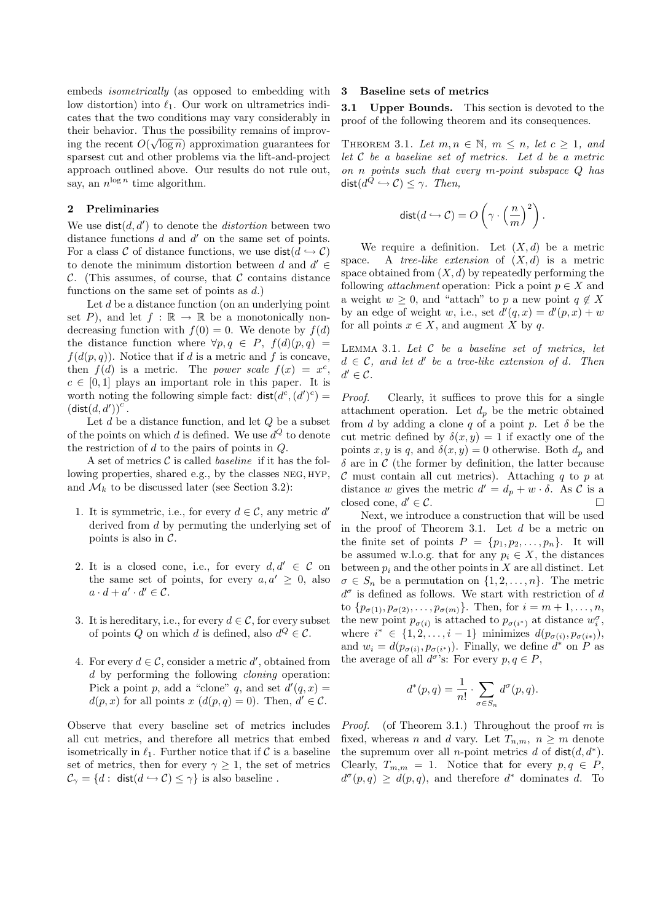embeds isometrically (as opposed to embedding with low distortion) into  $\ell_1$ . Our work on ultrametrics indicates that the two conditions may vary considerably in their behavior. Thus the possibility remains of improving the recent  $O(\sqrt{\log n})$  approximation guarantees for sparsest cut and other problems via the lift-and-project approach outlined above. Our results do not rule out, say, an  $n^{\log n}$  time algorithm.

# 2 Preliminaries

We use  $dist(d, d')$  to denote the *distortion* between two distance functions  $d$  and  $d'$  on the same set of points. For a class C of distance functions, we use  $dist(d \hookrightarrow C)$ to denote the minimum distortion between  $d$  and  $d' \in$ C. (This assumes, of course, that C contains distance functions on the same set of points as  $d$ .)

Let  $d$  be a distance function (on an underlying point set P), and let  $f : \mathbb{R} \to \mathbb{R}$  be a monotonically nondecreasing function with  $f(0) = 0$ . We denote by  $f(d)$ the distance function where  $\forall p, q \in P$ ,  $f(d)(p,q) =$  $f(d(p,q))$ . Notice that if d is a metric and f is concave, then  $f(d)$  is a metric. The *power scale*  $f(x) = x^c$ ,  $c \in [0, 1]$  plays an important role in this paper. It is worth noting the following simple fact:  $dist(d^c, (d')^c)$  =  $(\textsf{dist}(d, d'))^c$ .

Let  $d$  be a distance function, and let  $Q$  be a subset of the points on which  $d$  is defined. We use  $d^Q$  to denote the restriction of  $d$  to the pairs of points in  $Q$ .

A set of metrics  $C$  is called *baseline* if it has the following properties, shared e.g., by the classes NEG, HYP, and  $\mathcal{M}_k$  to be discussed later (see Section 3.2):

- 1. It is symmetric, i.e., for every  $d \in \mathcal{C}$ , any metric d' derived from d by permuting the underlying set of points is also in  $\mathcal{C}$ .
- 2. It is a closed cone, i.e., for every  $d, d' \in \mathcal{C}$  on the same set of points, for every  $a, a' \geq 0$ , also  $a \cdot d + a' \cdot d' \in \mathcal{C}.$
- 3. It is hereditary, i.e., for every  $d \in \mathcal{C}$ , for every subset of points Q on which d is defined, also  $d^Q \in \mathcal{C}$ .
- 4. For every  $d \in \mathcal{C}$ , consider a metric  $d'$ , obtained from d by performing the following *cloning* operation: Pick a point p, add a "clone" q, and set  $d'(q, x) =$  $d(p, x)$  for all points  $x (d(p, q) = 0)$ . Then,  $d' \in \mathcal{C}$ .

Observe that every baseline set of metrics includes all cut metrics, and therefore all metrics that embed isometrically in  $\ell_1$ . Further notice that if C is a baseline set of metrics, then for every  $\gamma \geq 1$ , the set of metrics  $\mathcal{C}_{\gamma} = \{d : \text{ dist}(d \hookrightarrow C) \leq \gamma\}$  is also baseline.

## 3 Baseline sets of metrics

3.1 Upper Bounds. This section is devoted to the proof of the following theorem and its consequences.

THEOREM 3.1. Let  $m, n \in \mathbb{N}$ ,  $m \leq n$ , let  $c \geq 1$ , and let C be a baseline set of metrics. Let d be a metric on n points such that every m-point subspace Q has dist $(d^Q \hookrightarrow C) \leq \gamma$ . Then,

$$
\operatorname{dist}(d \hookrightarrow C) = O\left(\gamma \cdot \left(\frac{n}{m}\right)^2\right).
$$

We require a definition. Let  $(X, d)$  be a metric space. A tree-like extension of  $(X, d)$  is a metric space obtained from  $(X, d)$  by repeatedly performing the following *attachment* operation: Pick a point  $p \in X$  and a weight  $w \geq 0$ , and "attach" to p a new point  $q \notin X$ by an edge of weight w, i.e., set  $d'(q, x) = d'(p, x) + w$ for all points  $x \in X$ , and augment X by q.

LEMMA 3.1. Let  $C$  be a baseline set of metrics, let  $d \in \mathcal{C}$ , and let d' be a tree-like extension of d. Then  $d' \in \mathcal{C}$ .

Proof. Clearly, it suffices to prove this for a single attachment operation. Let  $d_p$  be the metric obtained from d by adding a clone q of a point p. Let  $\delta$  be the cut metric defined by  $\delta(x, y) = 1$  if exactly one of the points x, y is q, and  $\delta(x, y) = 0$  otherwise. Both  $d_p$  and  $\delta$  are in C (the former by definition, the latter because  $\mathcal C$  must contain all cut metrics). Attaching q to p at distance w gives the metric  $d' = d_p + w \cdot \delta$ . As C is a closed cone,  $d' \in \mathcal{C}$ .

Next, we introduce a construction that will be used in the proof of Theorem 3.1. Let  $d$  be a metric on the finite set of points  $P = \{p_1, p_2, \ldots, p_n\}$ . It will be assumed w.l.o.g. that for any  $p_i \in X$ , the distances between  $p_i$  and the other points in X are all distinct. Let  $\sigma \in S_n$  be a permutation on  $\{1, 2, \ldots, n\}$ . The metric  $d^{\sigma}$  is defined as follows. We start with restriction of  $d$ to  $\{p_{\sigma(1)}, p_{\sigma(2)}, \ldots, p_{\sigma(m)}\}$ . Then, for  $i = m + 1, \ldots, n$ , the new point  $p_{\sigma(i)}$  is attached to  $p_{\sigma(i^*)}$  at distance  $w_i^{\sigma}$ , where  $i^* \in \{1, 2, \ldots, i-1\}$  minimizes  $d(p_{\sigma(i)}, p_{\sigma(i)})$ , and  $w_i = d(p_{\sigma(i)}, p_{\sigma(i^*)})$ . Finally, we define  $d^*$  on P as the average of all  $d^{\sigma}$ 's: For every  $p, q \in P$ ,

$$
d^*(p,q) = \frac{1}{n!} \cdot \sum_{\sigma \in S_n} d^{\sigma}(p,q).
$$

*Proof.* (of Theorem 3.1.) Throughout the proof m is fixed, whereas n and d vary. Let  $T_{n,m}$ ,  $n > m$  denote the supremum over all *n*-point metrics d of  $dist(d, d^*)$ . Clearly,  $T_{m,m} = 1$ . Notice that for every  $p, q \in P$ ,  $d^{\sigma}(p,q) \geq d(p,q)$ , and therefore  $d^*$  dominates d. To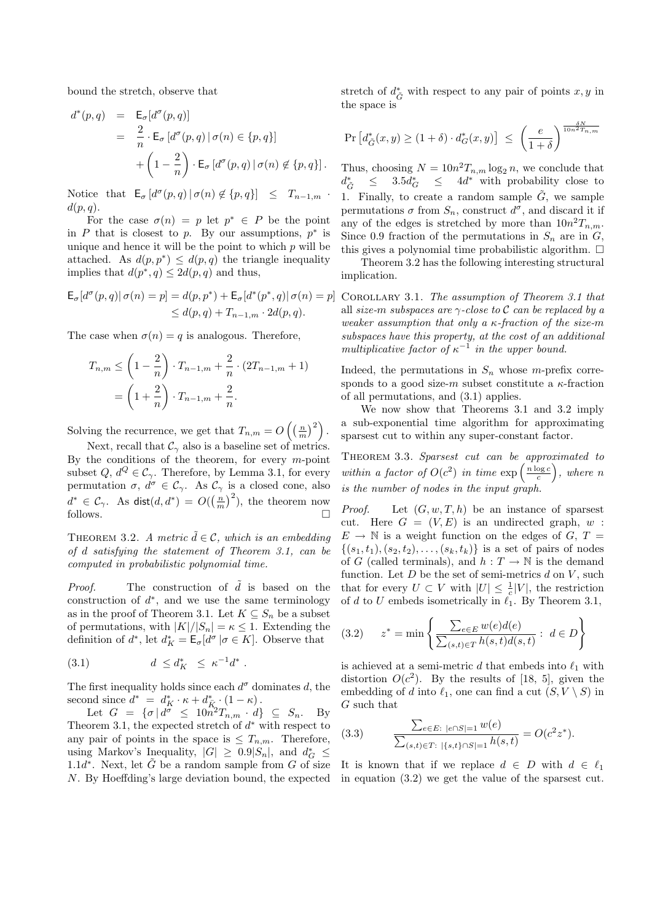bound the stretch, observe that

$$
d^*(p,q) = \mathsf{E}_{\sigma}[d^{\sigma}(p,q)]
$$
  
= 
$$
\frac{2}{n} \cdot \mathsf{E}_{\sigma}[d^{\sigma}(p,q) | \sigma(n) \in \{p,q\}]
$$
  
+ 
$$
\left(1 - \frac{2}{n}\right) \cdot \mathsf{E}_{\sigma}[d^{\sigma}(p,q) | \sigma(n) \notin \{p,q\}].
$$

Notice that  $\mathsf{E}_{\sigma}\left[d^{\sigma}(p,q) \,|\, \sigma(n) \notin \{p,q\}\right] \leq T_{n-1,m}$ .  $d(p,q).$ 

For the case  $\sigma(n) = p$  let  $p^* \in P$  be the point in  $P$  that is closest to  $p$ . By our assumptions,  $p^*$  is unique and hence it will be the point to which  $p$  will be attached. As  $d(p, p^*) \leq d(p, q)$  the triangle inequality implies that  $d(p^*, q) \leq 2d(p, q)$  and thus,

$$
\mathsf{E}_{\sigma}[d^{\sigma}(p,q)|\,\sigma(n)=p] = d(p,p^*) + \mathsf{E}_{\sigma}[d^*(p^*,q)|\,\sigma(n)=p] \leq d(p,q) + T_{n-1,m} \cdot 2d(p,q).
$$

The case when  $\sigma(n) = q$  is analogous. Therefore,

$$
T_{n,m} \le \left(1 - \frac{2}{n}\right) \cdot T_{n-1,m} + \frac{2}{n} \cdot (2T_{n-1,m} + 1)
$$
  
=  $\left(1 + \frac{2}{n}\right) \cdot T_{n-1,m} + \frac{2}{n}.$ 

Solving the recurrence, we get that  $T_{n,m} = O\left(\left(\frac{n}{m}\right)^2\right)$ .

Next, recall that  $\mathcal{C}_{\gamma}$  also is a baseline set of metrics. By the conditions of the theorem, for every  $m$ -point subset  $Q, d^Q \in \mathcal{C}_{\gamma}$ . Therefore, by Lemma 3.1, for every permutation  $\sigma$ ,  $d^{\sigma} \in \mathcal{C}_{\gamma}$ . As  $\mathcal{C}_{\gamma}$  is a closed cone, also  $d^* \in \mathcal{C}_{\gamma}$ . As  $\textsf{dist}(d, d^*) = O(\left(\frac{n}{m}\right)^2)$ , the theorem now follows.  $\Box$ 

THEOREM 3.2. A metric  $\tilde{d} \in \mathcal{C}$ , which is an embedding of d satisfying the statement of Theorem 3.1, can be computed in probabilistic polynomial time.

*Proof.* The construction of  $d$  is based on the construction of  $d^*$ , and we use the same terminology as in the proof of Theorem 3.1. Let  $K \subseteq S_n$  be a subset of permutations, with  $|K|/|S_n| = \kappa \leq 1$ . Extending the definition of  $d^*$ , let  $d_K^* = \mathsf{E}_{\sigma}[d^{\sigma} | \sigma \in K]$ . Observe that

(3.1) 
$$
d \leq d_K^* \leq \kappa^{-1} d^*.
$$

The first inequality holds since each  $d^{\sigma}$  dominates d, the second since  $d^* = d_K^* \cdot \kappa + d_{\overline{K}_0}^* \cdot (1 - \kappa)$ .

Let  $G = {\sigma | d^{\sigma} \leq 10n^2T_{n,m} \cdot d } \subseteq S_n$ . By Theorem 3.1, the expected stretch of  $d^*$  with respect to any pair of points in the space is  $\leq T_{n,m}$ . Therefore, using Markov's Inequality,  $|G| \geq 0.9|S_n|$ , and  $d_G^* \leq$  $1.1d^*$ . Next, let  $\tilde{G}$  be a random sample from G of size N. By Hoeffding's large deviation bound, the expected

stretch of  $d^*_{\tilde{G}}$  with respect to any pair of points  $x, y$  in the space is

$$
\Pr\left[d_{\tilde{G}}^*(x,y) \ge (1+\delta) \cdot d_G^*(x,y)\right] \le \left(\frac{e}{1+\delta}\right)^{\frac{\delta N}{10n^2 T_{n,m}}}
$$

Thus, choosing  $N = 10n^2 T_{n,m} \log_2 n$ , we conclude that  $d^*_{\tilde{c}}$  $\frac{*}{\tilde{G}}$  ≤ 3.5 $d_G^*$  ≤ 4 $d^*$  with probability close to 1. Finally, to create a random sample  $\tilde{G}$ , we sample permutations  $\sigma$  from  $S_n$ , construct  $d^{\sigma}$ , and discard it if any of the edges is stretched by more than  $10n^2T_{n,m}$ . Since 0.9 fraction of the permutations in  $S_n$  are in  $G$ , this gives a polynomial time probabilistic algorithm.  $\Box$ 

Theorem 3.2 has the following interesting structural implication.

COROLLARY 3.1. The assumption of Theorem 3.1 that all size-m subspaces are  $\gamma$ -close to C can be replaced by a weaker assumption that only a  $\kappa$ -fraction of the size-m subspaces have this property, at the cost of an additional multiplicative factor of  $\kappa^{-1}$  in the upper bound.

Indeed, the permutations in  $S_n$  whose m-prefix corresponds to a good size-m subset constitute a  $\kappa$ -fraction of all permutations, and (3.1) applies.

We now show that Theorems 3.1 and 3.2 imply a sub-exponential time algorithm for approximating sparsest cut to within any super-constant factor.

Theorem 3.3. Sparsest cut can be approximated to within a factor of  $O(c^2)$  in time  $\exp\left(\frac{n \log c}{c}\right)$ , where n is the number of nodes in the input graph.

*Proof.* Let  $(G, w, T, h)$  be an instance of sparsest cut. Here  $G = (V, E)$  is an undirected graph, w:  $E \rightarrow \mathbb{N}$  is a weight function on the edges of  $G, T =$  $\{(s_1, t_1), (s_2, t_2), \ldots, (s_k, t_k)\}\$ is a set of pairs of nodes of G (called terminals), and  $h: T \to \mathbb{N}$  is the demand function. Let  $D$  be the set of semi-metrics  $d$  on  $V$ , such that for every  $U \subset V$  with  $|U| \leq \frac{1}{c}|V|$ , the restriction of d to U embeds isometrically in  $\ell_1$ . By Theorem 3.1,

$$
(3.2) \qquad z^* = \min\left\{\frac{\sum_{e \in E} w(e)d(e)}{\sum_{(s,t) \in T} h(s,t)d(s,t)} : \ d \in D\right\}
$$

is achieved at a semi-metric d that embeds into  $\ell_1$  with distortion  $O(c^2)$ . By the results of [18, 5], given the embedding of d into  $\ell_1$ , one can find a cut  $(S, V \setminus S)$  in G such that

(3.3) 
$$
\frac{\sum_{e \in E: \ |e \cap S| = 1} w(e)}{\sum_{(s,t) \in T: \ |\{s,t\} \cap S| = 1} h(s,t)} = O(c^2 z^*).
$$

It is known that if we replace  $d \in D$  with  $d \in \ell_1$ in equation (3.2) we get the value of the sparsest cut.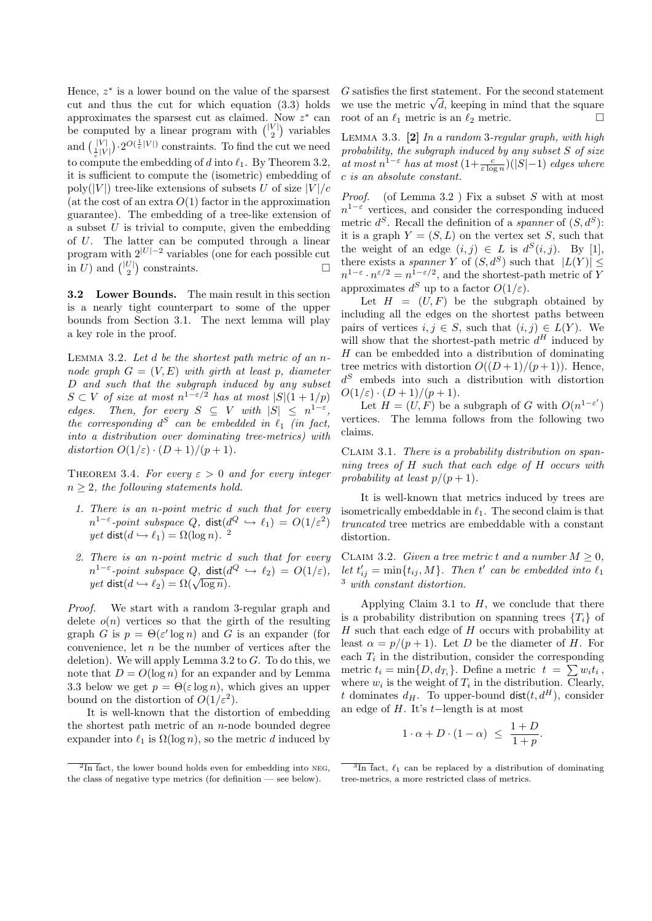Hence,  $z^*$  is a lower bound on the value of the sparsest cut and thus the cut for which equation (3.3) holds approximates the sparsest cut as claimed. Now  $z^*$  can be computed by a linear program with  $\binom{|V|}{2}$  variables and  $\left(\frac{|V|}{\frac{1}{c}|V|}\right) \cdot 2^{O(\frac{1}{c}|V|)}$  constraints. To find the cut we need to compute the embedding of d into  $\ell_1$ . By Theorem 3.2, it is sufficient to compute the (isometric) embedding of poly(|V|) tree-like extensions of subsets U of size  $|V|/c$ (at the cost of an extra  $O(1)$  factor in the approximation guarantee). The embedding of a tree-like extension of a subset  $U$  is trivial to compute, given the embedding of U. The latter can be computed through a linear program with  $2^{|U|-2}$  variables (one for each possible cut in U) and  $\binom{|U|}{2}$  constraints.

3.2 Lower Bounds. The main result in this section is a nearly tight counterpart to some of the upper bounds from Section 3.1. The next lemma will play a key role in the proof.

LEMMA 3.2. Let  $d$  be the shortest path metric of an nnode graph  $G = (V, E)$  with girth at least p, diameter D and such that the subgraph induced by any subset  $S \subset V$  of size at most  $n^{1-\varepsilon/2}$  has at most  $|S|(1+1/p)$ edges. Then, for every  $S \subseteq V$  with  $|S| \leq n^{1-\varepsilon}$ , the corresponding  $d^S$  can be embedded in  $\ell_1$  (in fact, into a distribution over dominating tree-metrics) with distortion  $O(1/\varepsilon) \cdot (D+1)/(p+1)$ .

THEOREM 3.4. For every  $\varepsilon > 0$  and for every integer  $n \geq 2$ , the following statements hold.

- 1. There is an n-point metric d such that for every  $n^{1-\varepsilon}\text{-point subspace }Q,\ \mathsf{dist}(d^{Q}\,\hookrightarrow\,\ell_{1})\,=\,O(1/\varepsilon^{2})$  $yet \; \mathsf{dist}(d \hookrightarrow \ell_1) = \Omega(\log n).$ <sup>2</sup>
- 2. There is an n-point metric d such that for every  $n^{1-\varepsilon}\text{-point subspace }Q,\ \mathsf{dist}(d^{Q}\ \hookrightarrow\ \ell_{2})\ =\ O(1/\varepsilon),$  $\mu$   $\rightarrow$  -point subspace Q,  $dist(a \rightarrow \ell_2) = \Omega(\sqrt{\log n}).$

Proof. We start with a random 3-regular graph and delete  $o(n)$  vertices so that the girth of the resulting graph G is  $p = \Theta(\varepsilon' \log n)$  and G is an expander (for convenience, let  $n$  be the number of vertices after the deletion). We will apply Lemma 3.2 to  $G$ . To do this, we note that  $D = O(\log n)$  for an expander and by Lemma 3.3 below we get  $p = \Theta(\varepsilon \log n)$ , which gives an upper bound on the distortion of  $O(1/\varepsilon^2)$ .

It is well-known that the distortion of embedding the shortest path metric of an  $n$ -node bounded degree expander into  $\ell_1$  is  $\Omega(\log n)$ , so the metric d induced by G satisfies the first statement. For the second statement G satisfies the first statement. For the second statement<br>we use the metric  $\sqrt{d}$ , keeping in mind that the square root of an  $\ell_1$  metric is an  $\ell_2$  metric.

Lemma 3.3. [2] In a random 3-regular graph, with high probability, the subgraph induced by any subset S of size at most  $n^{1-\varepsilon}$  has at most  $(1+\frac{c}{\varepsilon \log n})(|S|-1)$  edges where c is an absolute constant.

*Proof.* (of Lemma 3.2) Fix a subset S with at most  $n^{1-\varepsilon}$  vertices, and consider the corresponding induced metric  $d^S$ . Recall the definition of a *spanner* of  $(S, d^S)$ : it is a graph  $Y = (S, L)$  on the vertex set S, such that the weight of an edge  $(i, j) \in L$  is  $d^{S}(i, j)$ . By [1], there exists a *spanner* Y of  $(S, d^S)$  such that  $|L(Y)| \le$  $n^{1-\varepsilon} \cdot n^{\varepsilon/2} = n^{1-\varepsilon/2}$ , and the shortest-path metric of Y approximates  $d^S$  up to a factor  $O(1/\varepsilon)$ .

Let  $H = (U, F)$  be the subgraph obtained by including all the edges on the shortest paths between pairs of vertices  $i, j \in S$ , such that  $(i, j) \in L(Y)$ . We will show that the shortest-path metric  $d^H$  induced by  $H$  can be embedded into a distribution of dominating tree metrics with distortion  $O((D+1)/(p+1))$ . Hence,  $d<sup>S</sup>$  embeds into such a distribution with distortion  $O(1/\varepsilon) \cdot (D+1)/(p+1)$ .

Let  $H = (U, F)$  be a subgraph of G with  $O(n^{1-\varepsilon'})$ vertices. The lemma follows from the following two claims.

CLAIM 3.1. There is a probability distribution on spanning trees of H such that each edge of H occurs with probability at least  $p/(p+1)$ .

It is well-known that metrics induced by trees are isometrically embeddable in  $\ell_1$ . The second claim is that truncated tree metrics are embeddable with a constant distortion.

CLAIM 3.2. Given a tree metric t and a number  $M \geq 0$ , let  $t'_{ij} = \min\{t_{ij}, M\}$ . Then t' can be embedded into  $\ell_1$ <sup>3</sup> with constant distortion.

Applying Claim 3.1 to  $H$ , we conclude that there is a probability distribution on spanning trees  $\{T_i\}$  of  $H$  such that each edge of  $H$  occurs with probability at least  $\alpha = p/(p+1)$ . Let D be the diameter of H. For each  $T_i$  in the distribution, consider the corresponding metric  $t_i = \min\{D, d_{T_i}\}\.$  Define a metric  $t = \sum w_i t_i$ , where  $w_i$  is the weight of  $T_i$  in the distribution. Clearly, t dominates  $d_H$ . To upper-bound  $dist(t, d^H)$ , consider an edge of H. It's t−length is at most

$$
1 \cdot \alpha + D \cdot (1 - \alpha) \le \frac{1 + D}{1 + p}.
$$

 $\sqrt[2]{2 \ln \, \text{fact}}$ , the lower bound holds even for embedding into NEG, the class of negative type metrics (for definition — see below).

 $\frac{3\ln \pi}{\cosh \theta}$  can be replaced by a distribution of dominating tree-metrics, a more restricted class of metrics.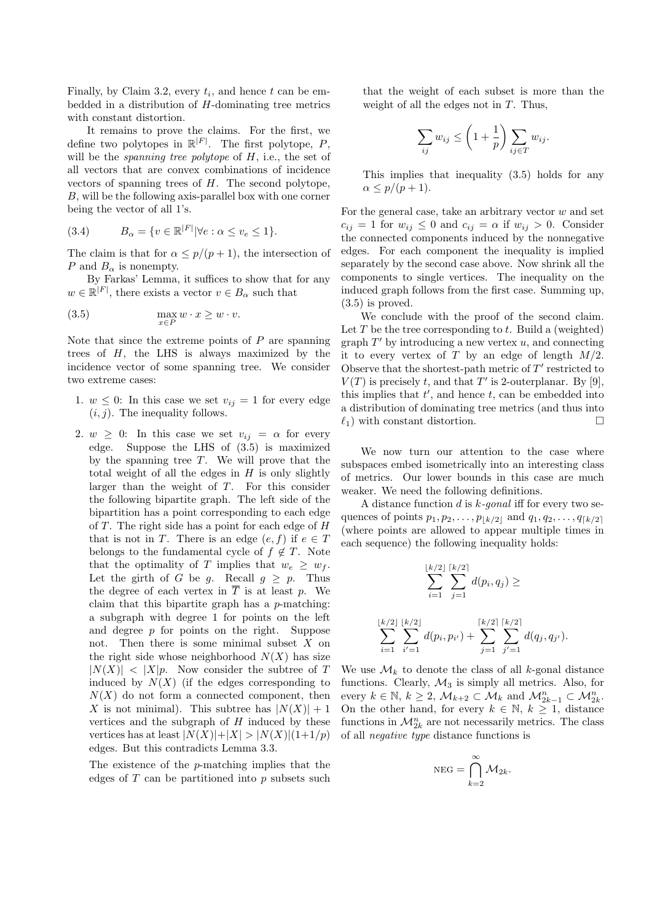Finally, by Claim 3.2, every  $t_i$ , and hence  $t$  can be embedded in a distribution of  $H$ -dominating tree metrics with constant distortion.

It remains to prove the claims. For the first, we define two polytopes in  $\mathbb{R}^{|F|}$ . The first polytope, P, will be the spanning tree polytope of  $H$ , i.e., the set of all vectors that are convex combinations of incidence vectors of spanning trees of  $H$ . The second polytope, B, will be the following axis-parallel box with one corner being the vector of all 1's.

$$
(3.4) \tB_{\alpha} = \{ v \in \mathbb{R}^{|F|} | \forall e : \alpha \le v_e \le 1 \}.
$$

The claim is that for  $\alpha \leq p/(p+1)$ , the intersection of P and  $B_{\alpha}$  is nonempty.

By Farkas' Lemma, it suffices to show that for any  $w \in \mathbb{R}^{|F|}$ , there exists a vector  $v \in B_\alpha$  such that

$$
\max_{x \in P} w \cdot x \ge w \cdot v.
$$

Note that since the extreme points of  $P$  are spanning trees of  $H$ , the LHS is always maximized by the incidence vector of some spanning tree. We consider two extreme cases:

- 1.  $w \leq 0$ : In this case we set  $v_{ij} = 1$  for every edge  $(i, j)$ . The inequality follows.
- 2.  $w \geq 0$ : In this case we set  $v_{ij} = \alpha$  for every edge. Suppose the LHS of (3.5) is maximized by the spanning tree  $T$ . We will prove that the total weight of all the edges in  $H$  is only slightly larger than the weight of T. For this consider the following bipartite graph. The left side of the bipartition has a point corresponding to each edge of  $T$ . The right side has a point for each edge of  $H$ that is not in T. There is an edge  $(e, f)$  if  $e \in T$ belongs to the fundamental cycle of  $f \notin T$ . Note that the optimality of T implies that  $w_e \geq w_f$ . Let the girth of G be g. Recall  $g \geq p$ . Thus the degree of each vertex in  $\overline{T}$  is at least p. We claim that this bipartite graph has a p-matching: a subgraph with degree 1 for points on the left and degree  $p$  for points on the right. Suppose not. Then there is some minimal subset  $X$  on the right side whose neighborhood  $N(X)$  has size  $|N(X)| < |X|p$ . Now consider the subtree of T induced by  $N(X)$  (if the edges corresponding to  $N(X)$  do not form a connected component, then X is not minimal). This subtree has  $|N(X)|+1$ vertices and the subgraph of  $H$  induced by these vertices has at least  $|N(X)|+|X|>|N(X)|(1+1/p)$ edges. But this contradicts Lemma 3.3.

The existence of the p-matching implies that the edges of  $T$  can be partitioned into  $p$  subsets such that the weight of each subset is more than the weight of all the edges not in  $T$ . Thus,

$$
\sum_{ij} w_{ij} \le \left(1 + \frac{1}{p}\right) \sum_{ij \in T} w_{ij}.
$$

This implies that inequality (3.5) holds for any  $\alpha \leq p/(p+1)$ .

For the general case, take an arbitrary vector  $w$  and set  $c_{ij} = 1$  for  $w_{ij} \leq 0$  and  $c_{ij} = \alpha$  if  $w_{ij} > 0$ . Consider the connected components induced by the nonnegative edges. For each component the inequality is implied separately by the second case above. Now shrink all the components to single vertices. The inequality on the induced graph follows from the first case. Summing up, (3.5) is proved.

We conclude with the proof of the second claim. Let  $T$  be the tree corresponding to  $t$ . Build a (weighted) graph  $T'$  by introducing a new vertex  $u$ , and connecting it to every vertex of T by an edge of length  $M/2$ . Observe that the shortest-path metric of  $T'$  restricted to  $V(T)$  is precisely t, and that T' is 2-outerplanar. By [9], this implies that  $t'$ , and hence  $t$ , can be embedded into a distribution of dominating tree metrics (and thus into  $\ell_1$ ) with constant distortion.

We now turn our attention to the case where subspaces embed isometrically into an interesting class of metrics. Our lower bounds in this case are much weaker. We need the following definitions.

A distance function  $d$  is  $k$ -gonal iff for every two sequences of points  $p_1, p_2, \ldots, p_{k/2}$  and  $q_1, q_2, \ldots, q_{k/2}$ (where points are allowed to appear multiple times in each sequence) the following inequality holds:

$$
\sum_{i=1}^{\lfloor k/2 \rfloor} \sum_{j=1}^{\lceil k/2 \rceil} d(p_i, q_j) \ge
$$
  

$$
\sum_{i=1}^{\lfloor k/2 \rfloor} \sum_{i'=1}^{\lfloor k/2 \rfloor} d(p_i, p_{i'}) + \sum_{j=1}^{\lceil k/2 \rceil} \sum_{j'=1}^{\lceil k/2 \rceil} d(q_j, q_{j'}).
$$

We use  $\mathcal{M}_k$  to denote the class of all k-gonal distance functions. Clearly,  $\mathcal{M}_3$  is simply all metrics. Also, for every  $k \in \mathbb{N}, k \geq 2, \mathcal{M}_{k+2} \subset \mathcal{M}_k$  and  $\mathcal{M}_{2k-1}^n \subset \mathcal{M}_{2k}^n$ . On the other hand, for every  $k \in \mathbb{N}, k \geq 1$ , distance functions in  $\mathcal{M}_{2k}^n$  are not necessarily metrics. The class of all negative type distance functions is

$$
\mathrm{NEG} = \bigcap_{k=2}^{\infty} \mathcal{M}_{2k}.
$$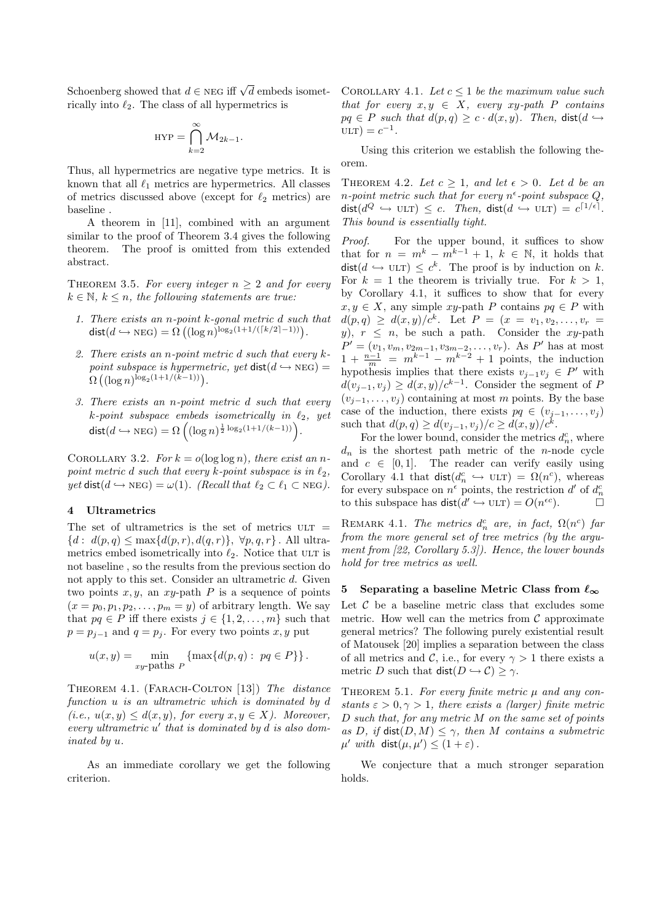Schoenberg showed that  $d \in \text{NEG}$  iff  $\sqrt{d}$  embeds isomet- COROLLARY 4.1. Let  $c \leq 1$  be the maximum value such rically into  $\ell_2$ . The class of all hypermetrics is

$$
HYP = \bigcap_{k=2}^{\infty} \mathcal{M}_{2k-1}.
$$

Thus, all hypermetrics are negative type metrics. It is known that all  $\ell_1$  metrics are hypermetrics. All classes of metrics discussed above (except for  $\ell_2$  metrics) are baseline .

A theorem in [11], combined with an argument similar to the proof of Theorem 3.4 gives the following theorem. The proof is omitted from this extended abstract.

THEOREM 3.5. For every integer  $n \geq 2$  and for every  $k \in \mathbb{N}, k \leq n$ , the following statements are true:

- 1. There exists an n-point k-gonal metric d such that dist $(d \hookrightarrow$  NEG) =  $\Omega\left( (\log n)^{\log_2(1+1/(\lceil k/2 \rceil-1))}\right)$ .
- 2. There exists an n-point metric d such that every kpoint subspace is hypermetric, yet  $dist(d \hookrightarrow \text{NEG}) =$  $\Omega\left((\log n)^{\log_2(1+1/(k-1))}\right).$
- 3. There exists an n-point metric d such that every k-point subspace embeds isometrically in  $\ell_2$ , yet dist $(d \hookrightarrow \text{NEG}) = \Omega \left( (\log n)^{\frac{1}{2} \log_2(1 + 1/(k-1))} \right).$

COROLLARY 3.2. For  $k = o(\log \log n)$ , there exist an npoint metric d such that every k-point subspace is in  $\ell_2$ ,  $yet \text{ dist}(d \hookrightarrow \text{NEG}) = \omega(1)$ . (Recall that  $\ell_2 \subset \ell_1 \subset \text{NEG}$ ).

# 4 Ultrametrics

The set of ultrametrics is the set of metrics  $ULT =$  ${d : d(p,q) \leq \max\{d(p,r), d(q,r)\}, \forall p,q,r}.$  All ultrametrics embed isometrically into  $\ell_2$ . Notice that ULT is not baseline , so the results from the previous section do not apply to this set. Consider an ultrametric d. Given two points  $x, y$ , an  $xy$ -path P is a sequence of points  $(x = p_0, p_1, p_2, \ldots, p_m = y)$  of arbitrary length. We say that  $pq \in P$  iff there exists  $j \in \{1, 2, \ldots, m\}$  such that  $p = p_{j-1}$  and  $q = p_j$ . For every two points x, y put

$$
u(x,y) = \min_{xy\text{-paths }P} \left\{ \max\{d(p,q) : pq \in P\} \right\}.
$$

THEOREM 4.1. (FARACH-COLTON [13]) The distance function u is an ultrametric which is dominated by d (i.e.,  $u(x, y) \leq d(x, y)$ , for every  $x, y \in X$ ). Moreover, every ultrametric  $u'$  that is dominated by  $d$  is also dominated by u.

As an immediate corollary we get the following criterion.

that for every  $x, y \in X$ , every xy-path P contains  $pq \in P$  such that  $d(p,q) \geq c \cdot d(x,y)$ . Then,  $dist(d \hookrightarrow$  $ULT$ ) =  $c^{-1}$ .

Using this criterion we establish the following theorem.

THEOREM 4.2. Let  $c \geq 1$ , and let  $\epsilon > 0$ . Let d be an n-point metric such that for every  $n^{\epsilon}$ -point subspace Q,  $dist(d^Q \hookrightarrow \text{ULT}) \leq c$ . Then,  $dist(d \hookrightarrow \text{ULT}) = c^{\lceil 1/\epsilon \rceil}$ . This bound is essentially tight.

Proof. For the upper bound, it suffices to show that for  $n = m^k - m^{k-1} + 1$ ,  $k \in \mathbb{N}$ , it holds that  $dist(d \hookrightarrow \text{ULT}) \leq c^k$ . The proof is by induction on k. For  $k = 1$  the theorem is trivially true. For  $k > 1$ , by Corollary 4.1, it suffices to show that for every  $x, y \in X$ , any simple  $xy$ -path P contains  $pq \in P$  with  $d(p,q) \geq d(x,y)/c^k$ . Let  $P = (x = v_1, v_2, \ldots, v_r)$ y),  $r \leq n$ , be such a path. Consider the xy-path  $P' = (v_1, v_m, v_{2m-1}, v_{3m-2}, \dots, v_r)$ . As P' has at most  $1 + \frac{n-1}{m} = m^{k-1} - m^{k-2} + 1$  points, the induction hypothesis implies that there exists  $v_{j-1}v_j \in P'$  with  $d(v_{j-1}, v_j) \geq d(x, y)/c^{k-1}$ . Consider the segment of P  $(v_{i-1}, \ldots, v_i)$  containing at most m points. By the base case of the induction, there exists  $pq \in (v_{j-1}, \ldots, v_j)$ such that  $d(p, q) \geq d(v_{j-1}, v_j)/c \geq d(x, y)/c^k$ .

For the lower bound, consider the metrics  $d_n^c$ , where  $d_n$  is the shortest path metric of the *n*-node cycle and  $c \in [0, 1]$ . The reader can verify easily using Corollary 4.1 that  $\text{dist}(d_n^c \leftrightarrow \text{ULT}) = \Omega(n^c)$ , whereas for every subspace on  $n^{\epsilon}$  points, the restriction d' of  $d_n^{\epsilon}$ to this subspace has  $dist(d' \hookrightarrow ULT) = O(n^{\epsilon c})$ .

REMARK 4.1. The metrics  $d_n^c$  are, in fact,  $\Omega(n^c)$  far from the more general set of tree metrics (by the argument from [22, Corollary 5.3]). Hence, the lower bounds hold for tree metrics as well.

#### 5 Separating a baseline Metric Class from  $\ell_{\infty}$

Let  $C$  be a baseline metric class that excludes some metric. How well can the metrics from  $\mathcal C$  approximate general metrics? The following purely existential result of Matousek [20] implies a separation between the class of all metrics and C, i.e., for every  $\gamma > 1$  there exists a metric D such that  $dist(D \hookrightarrow C) \ge \gamma$ .

THEOREM 5.1. For every finite metric  $\mu$  and any constants  $\varepsilon > 0, \gamma > 1$ , there exists a (larger) finite metric D such that, for any metric M on the same set of points as D, if  $dist(D, M) \leq \gamma$ , then M contains a submetric  $\mu'$  with dist $(\mu, \mu') \leq (1 + \varepsilon)$ .

We conjecture that a much stronger separation holds.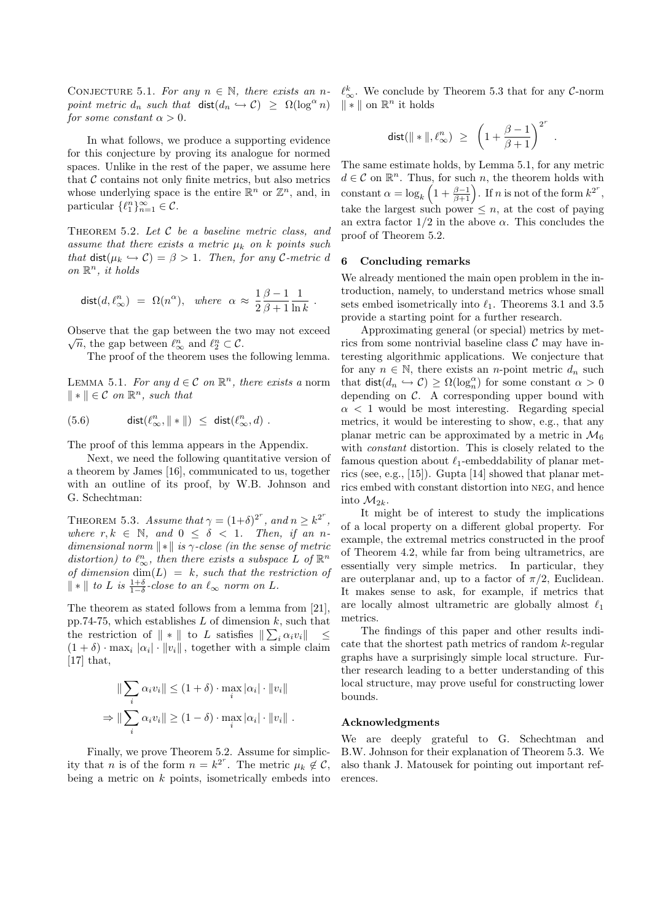CONJECTURE 5.1. For any  $n \in \mathbb{N}$ , there exists an n-  $\ell_{\infty}^k$ . We conclude by Theorem 5.3 that for any C-norm point metric  $d_n$  such that  $dist(d_n \hookrightarrow C) \geq \Omega(\log^{\alpha} n)$ for some constant  $\alpha > 0$ .

In what follows, we produce a supporting evidence for this conjecture by proving its analogue for normed spaces. Unlike in the rest of the paper, we assume here that  $\mathcal C$  contains not only finite metrics, but also metrics whose underlying space is the entire  $\mathbb{R}^n$  or  $\mathbb{Z}^n$ , and, in particular  $\{\ell_1^n\}_{n=1}^{\infty} \in \mathcal{C}$ .

THEOREM  $5.2.$  Let  $C$  be a baseline metric class, and assume that there exists a metric  $\mu_k$  on k points such that dist( $\mu_k \hookrightarrow C$ ) =  $\beta > 1$ . Then, for any C-metric d on  $\mathbb{R}^n$ , it holds

$$
\mathsf{dist}(d,\ell_\infty^n) \ = \ \Omega(n^\alpha), \ \ \text{where} \ \ \alpha \ \approx \ \frac{1}{2} \frac{\beta-1}{\beta+1} \frac{1}{\ln k} \ .
$$

Observe that the gap between the two may not exceed  $\overline{n}$ , the gap between  $\ell_{\infty}^n$  and  $\ell_2^n \subset \mathcal{C}$ .

The proof of the theorem uses the following lemma.

LEMMA 5.1. For any  $d \in \mathcal{C}$  on  $\mathbb{R}^n$ , there exists a norm  $\Vert * \Vert \in \mathcal{C}$  on  $\mathbb{R}^n$ , such that

$$
(5.6) \qquad \qquad \mathsf{dist}(\ell_\infty^n,\|\ast\|) \ \leq \ \mathsf{dist}(\ell_\infty^n,d) \ .
$$

The proof of this lemma appears in the Appendix.

Next, we need the following quantitative version of a theorem by James [16], communicated to us, together with an outline of its proof, by W.B. Johnson and G. Schechtman:

THEOREM 5.3. Assume that  $\gamma = (1+\delta)^{2^r}$ , and  $n \geq k^{2^r}$ , where  $r, k \in \mathbb{N}$ , and  $0 \leq \delta \leq 1$ . Then, if an ndimensional norm  $\Vert * \Vert$  is  $\gamma$ -close (in the sense of metric distortion) to  $\ell_{\infty}^n$ , then there exists a subspace L of  $\mathbb{R}^n$ of dimension  $\dim(L) = k$ , such that the restriction of  $\|*\|$  to L is  $\frac{1+\delta}{1-\delta}$ -close to an  $\ell_{\infty}$  norm on L.

The theorem as stated follows from a lemma from [21], pp.74-75, which establishes  $L$  of dimension  $k$ , such that the restriction of  $\| * \|$  to L satisfies  $\| \sum_i \alpha_i v_i \| \leq$  $(1 + \delta) \cdot \max_i |\alpha_i| \cdot ||v_i||$ , together with a simple claim  $[17]$  that,

$$
\|\sum_{i} \alpha_{i} v_{i}\| \leq (1+\delta) \cdot \max_{i} |\alpha_{i}| \cdot \|v_{i}\|
$$

$$
\Rightarrow \|\sum_{i} \alpha_{i} v_{i}\| \geq (1-\delta) \cdot \max_{i} |\alpha_{i}| \cdot \|v_{i}\|.
$$

Finally, we prove Theorem 5.2. Assume for simplicity that *n* is of the form  $n = k^{2^r}$ . The metric  $\mu_k \notin \mathcal{C}$ , being a metric on  $k$  points, isometrically embeds into  $\Vert * \Vert$  on  $\mathbb{R}^n$  it holds

$$
\text{dist}(\|\ast\|,\ell_\infty^n)~\ge~\left(1+\frac{\beta-1}{\beta+1}\right)^{2^r}
$$

.

The same estimate holds, by Lemma 5.1, for any metric  $d \in \mathcal{C}$  on  $\mathbb{R}^n$ . Thus, for such n, the theorem holds with constant  $\alpha = \log_k \left( 1 + \frac{\beta - 1}{\beta + 1} \right)$ . If n is not of the form  $k^{2^r}$ , take the largest such power  $\leq n$ , at the cost of paying an extra factor  $1/2$  in the above  $\alpha$ . This concludes the proof of Theorem 5.2.

#### 6 Concluding remarks

We already mentioned the main open problem in the introduction, namely, to understand metrics whose small sets embed isometrically into  $\ell_1$ . Theorems 3.1 and 3.5 provide a starting point for a further research.

Approximating general (or special) metrics by metrics from some nontrivial baseline class  $\mathcal C$  may have interesting algorithmic applications. We conjecture that for any  $n \in \mathbb{N}$ , there exists an *n*-point metric  $d_n$  such that  $\text{dist}(d_n \hookrightarrow \mathcal{C}) \ge \Omega(\log_n^{\alpha})$  for some constant  $\alpha > 0$ depending on  $C$ . A corresponding upper bound with  $\alpha$  < 1 would be most interesting. Regarding special metrics, it would be interesting to show, e.g., that any planar metric can be approximated by a metric in  $\mathcal{M}_6$ with constant distortion. This is closely related to the famous question about  $\ell_1$ -embeddability of planar metrics (see, e.g., [15]). Gupta [14] showed that planar metrics embed with constant distortion into neg, and hence into  $M_{2k}$ .

It might be of interest to study the implications of a local property on a different global property. For example, the extremal metrics constructed in the proof of Theorem 4.2, while far from being ultrametrics, are essentially very simple metrics. In particular, they are outerplanar and, up to a factor of  $\pi/2$ , Euclidean. It makes sense to ask, for example, if metrics that are locally almost ultrametric are globally almost  $\ell_1$ metrics.

The findings of this paper and other results indicate that the shortest path metrics of random k-regular graphs have a surprisingly simple local structure. Further research leading to a better understanding of this local structure, may prove useful for constructing lower bounds.

#### Acknowledgments

We are deeply grateful to G. Schechtman and B.W. Johnson for their explanation of Theorem 5.3. We also thank J. Matousek for pointing out important references.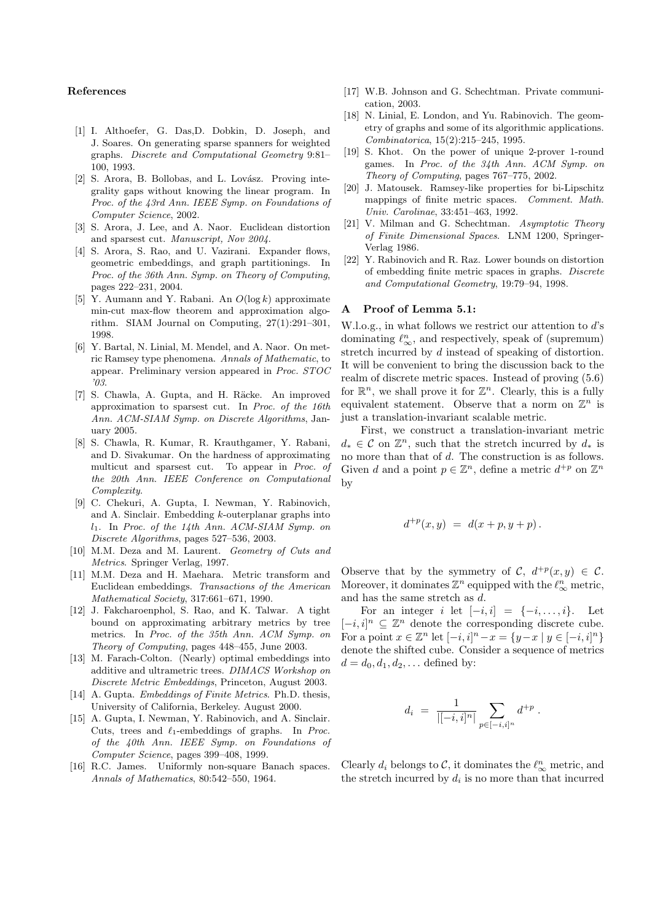## References

- [1] I. Althoefer, G. Das,D. Dobkin, D. Joseph, and J. Soares. On generating sparse spanners for weighted graphs. Discrete and Computational Geometry 9:81– 100, 1993.
- [2] S. Arora, B. Bollobas, and L. Lovász. Proving integrality gaps without knowing the linear program. In Proc. of the 43rd Ann. IEEE Symp. on Foundations of Computer Science, 2002.
- [3] S. Arora, J. Lee, and A. Naor. Euclidean distortion and sparsest cut. Manuscript, Nov 2004.
- [4] S. Arora, S. Rao, and U. Vazirani. Expander flows, geometric embeddings, and graph partitionings. In Proc. of the 36th Ann. Symp. on Theory of Computing, pages 222–231, 2004.
- [5] Y. Aumann and Y. Rabani. An  $O(\log k)$  approximate min-cut max-flow theorem and approximation algorithm. SIAM Journal on Computing, 27(1):291–301, 1998.
- [6] Y. Bartal, N. Linial, M. Mendel, and A. Naor. On metric Ramsey type phenomena. Annals of Mathematic, to appear. Preliminary version appeared in Proc. STOC '03.
- [7] S. Chawla, A. Gupta, and H. Räcke. An improved approximation to sparsest cut. In Proc. of the 16th Ann. ACM-SIAM Symp. on Discrete Algorithms, January 2005.
- [8] S. Chawla, R. Kumar, R. Krauthgamer, Y. Rabani, and D. Sivakumar. On the hardness of approximating multicut and sparsest cut. To appear in Proc. of the 20th Ann. IEEE Conference on Computational Complexity.
- [9] C. Chekuri, A. Gupta, I. Newman, Y. Rabinovich, and A. Sinclair. Embedding k-outerplanar graphs into  $l_1$ . In Proc. of the 14th Ann. ACM-SIAM Symp. on Discrete Algorithms, pages 527–536, 2003.
- [10] M.M. Deza and M. Laurent. Geometry of Cuts and Metrics. Springer Verlag, 1997.
- [11] M.M. Deza and H. Maehara. Metric transform and Euclidean embeddings. Transactions of the American Mathematical Society, 317:661–671, 1990.
- [12] J. Fakcharoenphol, S. Rao, and K. Talwar. A tight bound on approximating arbitrary metrics by tree metrics. In Proc. of the 35th Ann. ACM Symp. on Theory of Computing, pages 448–455, June 2003.
- [13] M. Farach-Colton. (Nearly) optimal embeddings into additive and ultrametric trees. DIMACS Workshop on Discrete Metric Embeddings, Princeton, August 2003.
- [14] A. Gupta. *Embeddings of Finite Metrics*. Ph.D. thesis, University of California, Berkeley. August 2000.
- [15] A. Gupta, I. Newman, Y. Rabinovich, and A. Sinclair. Cuts, trees and  $\ell_1$ -embeddings of graphs. In Proc. of the 40th Ann. IEEE Symp. on Foundations of Computer Science, pages 399–408, 1999.
- [16] R.C. James. Uniformly non-square Banach spaces. Annals of Mathematics, 80:542–550, 1964.
- [17] W.B. Johnson and G. Schechtman. Private communication, 2003.
- [18] N. Linial, E. London, and Yu. Rabinovich. The geometry of graphs and some of its algorithmic applications. Combinatorica, 15(2):215–245, 1995.
- [19] S. Khot. On the power of unique 2-prover 1-round games. In Proc. of the 34th Ann. ACM Symp. on Theory of Computing, pages 767–775, 2002.
- [20] J. Matousek. Ramsey-like properties for bi-Lipschitz mappings of finite metric spaces. Comment. Math. Univ. Carolinae, 33:451–463, 1992.
- [21] V. Milman and G. Schechtman. Asymptotic Theory of Finite Dimensional Spaces. LNM 1200, Springer-Verlag 1986.
- [22] Y. Rabinovich and R. Raz. Lower bounds on distortion of embedding finite metric spaces in graphs. Discrete and Computational Geometry, 19:79–94, 1998.

## A Proof of Lemma 5.1:

W.l.o.g., in what follows we restrict our attention to d's dominating  $\ell_{\infty}^n$ , and respectively, speak of (supremum) stretch incurred by d instead of speaking of distortion. It will be convenient to bring the discussion back to the realm of discrete metric spaces. Instead of proving (5.6) for  $\mathbb{R}^n$ , we shall prove it for  $\mathbb{Z}^n$ . Clearly, this is a fully equivalent statement. Observe that a norm on  $\mathbb{Z}^n$  is just a translation-invariant scalable metric.

First, we construct a translation-invariant metric  $d_* \in \mathcal{C}$  on  $\mathbb{Z}^n$ , such that the stretch incurred by  $d_*$  is no more than that of d. The construction is as follows. Given d and a point  $p \in \mathbb{Z}^n$ , define a metric  $d^{+p}$  on  $\mathbb{Z}^n$ by

$$
d^{+p}(x, y) = d(x + p, y + p).
$$

Observe that by the symmetry of C,  $d^{+p}(x, y) \in C$ . Moreover, it dominates  $\mathbb{Z}^n$  equipped with the  $\ell_{\infty}^n$  metric, and has the same stretch as d.

For an integer i let  $[-i, i] = \{-i, \ldots, i\}$ . Let  $[-i, i]$ <sup>n</sup> ⊆  $\mathbb{Z}^n$  denote the corresponding discrete cube. For a point  $x \in \mathbb{Z}^n$  let  $[-i, i]^n - x = \{y - x \mid y \in [-i, i]^n\}$ denote the shifted cube. Consider a sequence of metrics  $d = d_0, d_1, d_2, ...$  defined by:

$$
d_i = \frac{1}{|[-i,i]^n|} \sum_{p \in [-i,i]^n} d^{+p}.
$$

Clearly  $d_i$  belongs to  $\mathcal{C}$ , it dominates the  $\ell_{\infty}^n$  metric, and the stretch incurred by  $d_i$  is no more than that incurred